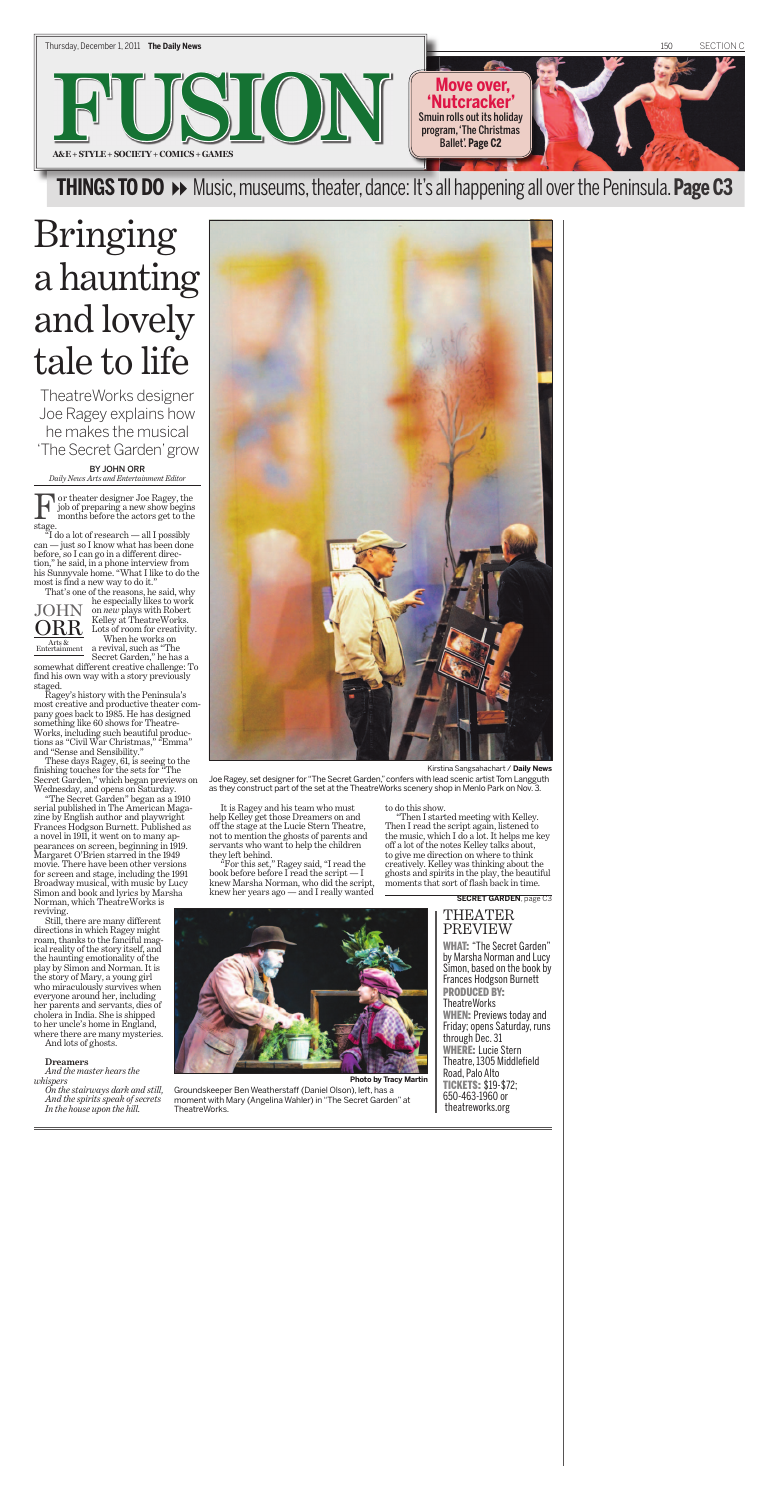#### BY JOHN ORR *Daily News Arts and Entertainment Editor*

For theater designer Joe Ragey, the<br>job of preparing a new show begins<br>months before the actors get to the job of preparing a new show begins job of preparing a new show begins<br>months before the actors get to the stage.

"I do a lot of research — all I possibly can — just so I know what has been done before, so I can go in a different direction," he said, in a phone interview from his Sunnyvale home. "What I like to do the most is find a new way to do it."

That's one of the reasons, he said, why he especially likes to work on *new* plays with Robert Kelley at TheatreWorks. Lots of room for creativity. When he works on a revival, such as "The

Secret Garden," he has a somewhat different creative challenge: To find his own way with a story previously staged.

Ragey's history with the Peninsula's most creative and productive theater company goes back to 1985. He has designed something like 60 shows for Theatre-Works, including such beautiful productions as "Civil War Christmas," "Emma" and "Sense and Sensibility."

These days Ragey, 61, is seeing to the finishing touches for the sets for "The Secret Garden," which began previews on Wednesday, and opens on Saturday.

"The Secret Garden" began as a 1910 serial published in The American Magazine by English author and playwright Frances Hodgson Burnett. Published as a novel in 1911, it went on to many appearances on screen, beginning in 1919. Margaret O'Brien starred in the 1949 movie. There have been other versions for screen and stage, including the 1991 Broadway musical, with music by Lucy Simon and book and lyrics by Marsha Norman, which TheatreWorks is reviving. Still, there are many different directions in which Ragey might roam, thanks to the fanciful magical reality of the story itself, and the haunting emotionality of the play by Simon and Norman. It is the story of Mary, a young girl who miraculously survives when everyone around her, including her parents and servants, dies of cholera in India. She is shipped to her uncle's home in England, where there are many mysteries. And lots of ghosts.

### **Dreamers**

*And the master hears the whispers*

*On the stairways dark and still, And the spirits speak of secrets In the house upon the hill.*

It is Ragey and his team who must help Kelley get those Dreamers on and off the stage at the Lucie Stern Theatre, not to mention the ghosts of parents and

servants who want to help the children they left behind.

"For this set," Ragey said, "I read the book before before I read the script — I knew Marsha Norman, who did the script, knew her years ago — and I really wanted

to do this show.

"Then I started meeting with Kelley. Then I read the script again, listened to the music, which I do a lot. It helps me key off a lot of the notes Kelley talks about, to give me direction on where to think creatively. Kelley was thinking about the ghosts and spirits in the play, the beautiful moments that sort of flash back in time.

Thursday, December 1, 2011 **The Daily News** 150 SECTION C



## THINGS TO DO  $\rightarrow$  Music, museums, theater, dance: It's all happening all over the Peninsula. Page C3

## THEATER PREVIEW

WHAT: "The Secret Garden" by Marsha Norman and Lucy Simon, based on the book by Frances Hodgson Burnett PRODUCED BY: **TheatreWorks** WHEN: Previews today and Friday; opens Saturday, runs through Dec. 31 WHERE: Lucie Stern Theatre, 1305 Middlefield Road, Palo Alto TICKETS: \$19-\$72; 650-463-1960 or theatreworks.org





# Bringing a haunting and lovely tale to life



Kirstina Sangsahachart / **Daily News**

Joe Ragey, set designer for"The Secret Garden," confers with lead scenic artist Tom Langguth as they construct part of the set at the TheatreWorks scenery shop in Menlo Park on Nov. 3.

TheatreWorks designer Joe Ragey explains how he makes the musical 'The Secret Garden'grow

**Photo by Tracy Martin**

Groundskeeper Ben Weatherstaff (Daniel Olson), left, has a moment with Mary (Angelina Wahler) in "The Secret Garden" at TheatreWorks.

**SECRET GARDEN**, page C3